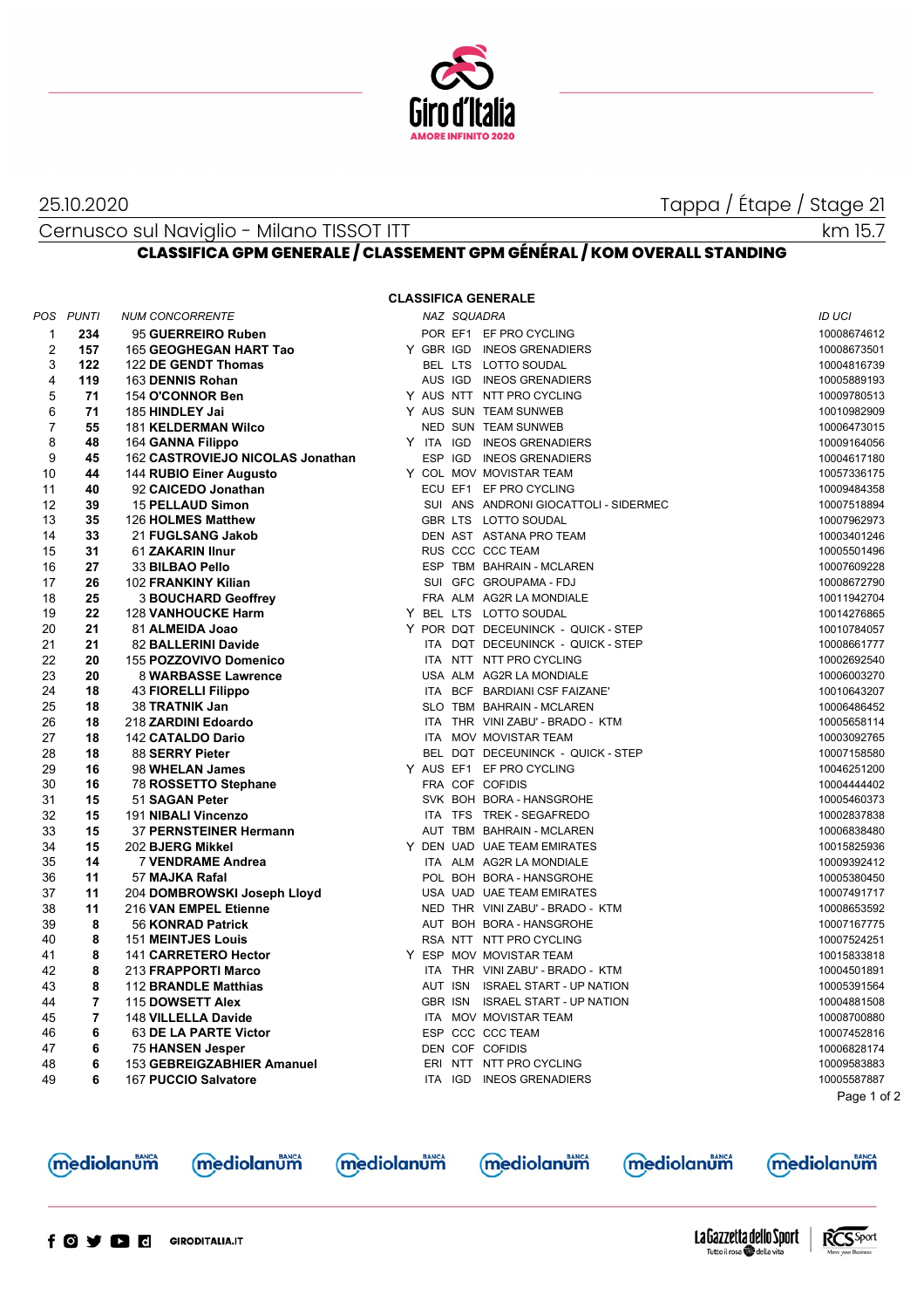

## 25.10.2020

Tappa / Étape / Stage 21

Cernusco sul Naviglio - Milano TISSOT ITT

km 15.7

## CLASSIFICA GPM GENERALE / CLASSEMENT GPM GÉNÉRAL / KOM OVERALL STANDING

**CLASSIFICA GENERALE** 

| POS            | <b>PUNTI</b>   | <b>NUM CONCORRENTE</b>           |         | NAZ SQUADRA |                                       | ID UCI      |
|----------------|----------------|----------------------------------|---------|-------------|---------------------------------------|-------------|
| $\mathbf{1}$   | 234            | 95 GUERREIRO Ruben               |         |             | POR EF1 EF PRO CYCLING                | 10008674612 |
| $\overline{2}$ | 157            | 165 GEOGHEGAN HART Tao           |         |             | Y GBR IGD INEOS GRENADIERS            | 10008673501 |
| 3              | 122            | 122 DE GENDT Thomas              |         |             | BEL LTS LOTTO SOUDAL                  | 10004816739 |
| 4              | 119            | 163 DENNIS Rohan                 |         |             | AUS IGD INEOS GRENADIERS              | 10005889193 |
| 5              | 71             | 154 O'CONNOR Ben                 |         |             | Y AUS NTT NTT PRO CYCLING             | 10009780513 |
| 6              | 71             | 185 HINDLEY Jai                  |         |             | Y AUS SUN TEAM SUNWEB                 | 10010982909 |
| $\overline{7}$ | 55             | <b>181 KELDERMAN Wilco</b>       |         |             | NED SUN TEAM SUNWEB                   | 10006473015 |
| 8              | 48             | 164 GANNA Filippo                |         |             | Y ITA IGD INEOS GRENADIERS            | 10009164056 |
| 9              | 45             | 162 CASTROVIEJO NICOLAS Jonathan |         |             | ESP IGD INEOS GRENADIERS              | 10004617180 |
| 10             | 44             | 144 RUBIO Einer Augusto          |         |             | Y COL MOV MOVISTAR TEAM               | 10057336175 |
| 11             | 40             | 92 CAICEDO Jonathan              |         |             | ECU EF1 EF PRO CYCLING                | 10009484358 |
| 12             | 39             | 15 PELLAUD Simon                 |         |             | SUI ANS ANDRONI GIOCATTOLI - SIDERMEC | 10007518894 |
| 13             | 35             | 126 HOLMES Matthew               |         |             | GBR LTS LOTTO SOUDAL                  | 10007962973 |
| 14             | 33             | 21 FUGLSANG Jakob                |         |             | DEN AST ASTANA PRO TEAM               | 10003401246 |
| 15             | 31             | 61 ZAKARIN IInur                 |         |             | RUS CCC CCC TEAM                      | 10005501496 |
| 16             | 27             | 33 BILBAO Pello                  |         |             | ESP TBM BAHRAIN - MCLAREN             | 10007609228 |
| 17             | 26             | 102 FRANKINY Kilian              |         |             | SUI GFC GROUPAMA - FDJ                | 10008672790 |
| 18             | 25             | <b>3 BOUCHARD Geoffrey</b>       |         |             | FRA ALM AG2R LA MONDIALE              | 10011942704 |
| 19             | 22             | <b>128 VANHOUCKE Harm</b>        |         |             | Y BEL LTS LOTTO SOUDAL                | 10014276865 |
| 20             | 21             | 81 ALMEIDA Joao                  |         |             | Y POR DQT DECEUNINCK - QUICK - STEP   | 10010784057 |
| 21             | 21             | 82 BALLERINI Davide              |         |             | ITA DQT DECEUNINCK - QUICK - STEP     | 10008661777 |
| 22             | 20             | 155 POZZOVIVO Domenico           |         |             | ITA NTT NTT PRO CYCLING               | 10002692540 |
| 23             | 20             | 8 WARBASSE Lawrence              |         |             | USA ALM AG2R LA MONDIALE              | 10006003270 |
| 24             | 18             | <b>43 FIORELLI Filippo</b>       |         |             | ITA BCF BARDIANI CSF FAIZANE'         | 10010643207 |
| 25             | 18             | 38 TRATNIK Jan                   |         |             | SLO TBM BAHRAIN - MCLAREN             | 10006486452 |
| 26             | 18             | 218 ZARDINI Edoardo              |         |             | ITA THR VINI ZABU' - BRADO - KTM      | 10005658114 |
| 27             | 18             | 142 CATALDO Dario                |         |             | ITA MOV MOVISTAR TEAM                 | 10003092765 |
| 28             | 18             | 88 SERRY Pieter                  |         |             | BEL DQT DECEUNINCK - QUICK - STEP     | 10007158580 |
| 29             | 16             | 98 WHELAN James                  |         |             | Y AUS EF1 EF PRO CYCLING              | 10046251200 |
| 30             | 16             | 78 ROSSETTO Stephane             |         |             | FRA COF COFIDIS                       | 10004444402 |
| 31             | 15             | 51 SAGAN Peter                   |         |             | SVK BOH BORA - HANSGROHE              | 10005460373 |
| 32             | 15             | 191 NIBALI Vincenzo              |         |             | ITA TFS TREK - SEGAFREDO              | 10002837838 |
| 33             | 15             | 37 PERNSTEINER Hermann           |         |             | AUT TBM BAHRAIN - MCLAREN             | 10006838480 |
| 34             | 15             | 202 BJERG Mikkel                 |         |             | Y DEN UAD UAE TEAM EMIRATES           | 10015825936 |
| 35             | 14             | 7 VENDRAME Andrea                |         |             | ITA ALM AG2R LA MONDIALE              | 10009392412 |
| 36             | 11             | 57 MAJKA Rafal                   |         |             | POL BOH BORA - HANSGROHE              | 10005380450 |
| 37             | 11             | 204 DOMBROWSKI Joseph Lloyd      |         |             | USA UAD UAE TEAM EMIRATES             | 10007491717 |
| 38             | 11             | 216 VAN EMPEL Etienne            |         |             | NED THR VINI ZABU' - BRADO - KTM      | 10008653592 |
| 39             | 8              | 56 KONRAD Patrick                |         |             | AUT BOH BORA - HANSGROHE              | 10007167775 |
| 40             | 8              | <b>151 MEINTJES Louis</b>        |         |             | RSA NTT NTT PRO CYCLING               | 10007524251 |
| 41             | 8              | 141 CARRETERO Hector             |         |             | Y ESP MOV MOVISTAR TEAM               | 10015833818 |
| 42             | 8              | 213 FRAPPORTI Marco              |         |             | ITA THR VINI ZABU' - BRADO - KTM      | 10004501891 |
| 43             | 8              | 112 BRANDLE Matthias             |         |             | AUT ISN ISRAEL START - UP NATION      | 10005391564 |
| 44             | $\overline{7}$ | 115 DOWSETT Alex                 |         |             | GBR ISN ISRAEL START - UP NATION      | 10004881508 |
| 45             | $\overline{7}$ | 148 VILLELLA Davide              |         |             | ITA MOV MOVISTAR TEAM                 | 10008700880 |
| 46             | 6              | 63 DE LA PARTE Victor            |         |             | ESP CCC CCC TEAM                      | 10007452816 |
| 47             | 6              | <b>75 HANSEN Jesper</b>          |         |             | DEN COF COFIDIS                       | 10006828174 |
| 48             | 6              | 153 GEBREIGZABHIER Amanuel       |         |             | ERI NTT NTT PRO CYCLING               | 10009583883 |
| 49             | 6              | 167 PUCCIO Salvatore             | ITA IGD |             | <b>INEOS GRENADIERS</b>               | 10005587887 |
|                |                |                                  |         |             |                                       | Page 1 of 2 |





mediolanum

**mediolanum** 



**mediolanum**